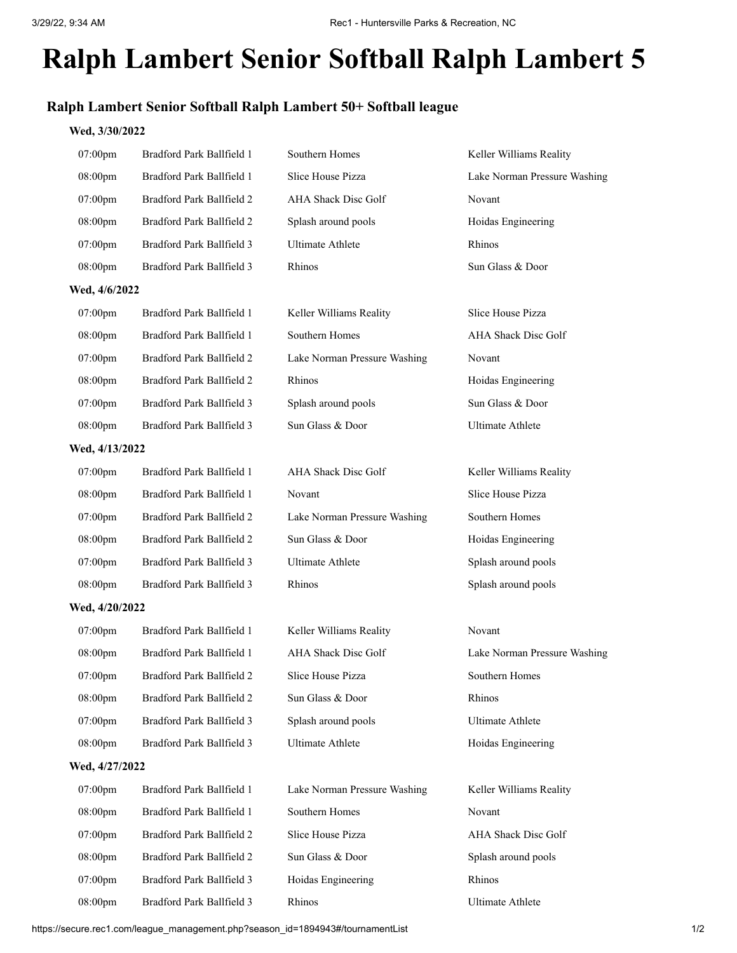## **Ralph Lambert Senior Softball Ralph Lambert 5**

## **Ralph Lambert Senior Softball Ralph Lambert 50+ Softball league**

## **Wed, 3/30/2022**

| 07:00pm        | Bradford Park Ballfield 1 | Southern Homes               | Keller Williams Reality      |
|----------------|---------------------------|------------------------------|------------------------------|
| 08:00pm        | Bradford Park Ballfield 1 | Slice House Pizza            | Lake Norman Pressure Washing |
| 07:00pm        | Bradford Park Ballfield 2 | AHA Shack Disc Golf          | Novant                       |
| 08:00pm        | Bradford Park Ballfield 2 | Splash around pools          | Hoidas Engineering           |
| 07:00pm        | Bradford Park Ballfield 3 | <b>Ultimate Athlete</b>      | Rhinos                       |
| 08:00pm        | Bradford Park Ballfield 3 | Rhinos                       | Sun Glass & Door             |
| Wed, 4/6/2022  |                           |                              |                              |
| 07:00pm        | Bradford Park Ballfield 1 | Keller Williams Reality      | Slice House Pizza            |
| 08:00pm        | Bradford Park Ballfield 1 | Southern Homes               | AHA Shack Disc Golf          |
| 07:00pm        | Bradford Park Ballfield 2 | Lake Norman Pressure Washing | Novant                       |
| 08:00pm        | Bradford Park Ballfield 2 | Rhinos                       | Hoidas Engineering           |
| 07:00pm        | Bradford Park Ballfield 3 | Splash around pools          | Sun Glass & Door             |
| 08:00pm        | Bradford Park Ballfield 3 | Sun Glass & Door             | <b>Ultimate Athlete</b>      |
| Wed, 4/13/2022 |                           |                              |                              |
| 07:00pm        | Bradford Park Ballfield 1 | AHA Shack Disc Golf          | Keller Williams Reality      |
| 08:00pm        | Bradford Park Ballfield 1 | Novant                       | <b>Slice House Pizza</b>     |
| 07:00pm        | Bradford Park Ballfield 2 | Lake Norman Pressure Washing | Southern Homes               |
| 08:00pm        | Bradford Park Ballfield 2 | Sun Glass & Door             | Hoidas Engineering           |
| 07:00pm        | Bradford Park Ballfield 3 | <b>Ultimate Athlete</b>      | Splash around pools          |
| 08:00pm        | Bradford Park Ballfield 3 | Rhinos                       | Splash around pools          |
| Wed, 4/20/2022 |                           |                              |                              |
| 07:00pm        | Bradford Park Ballfield 1 | Keller Williams Reality      | Novant                       |
| 08:00pm        | Bradford Park Ballfield 1 | AHA Shack Disc Golf          | Lake Norman Pressure Washing |
| 07:00pm        | Bradford Park Ballfield 2 | Slice House Pizza            | Southern Homes               |
| 08:00pm        | Bradford Park Ballfield 2 | Sun Glass & Door             | Rhinos                       |
| 07:00pm        | Bradford Park Ballfield 3 | Splash around pools          | <b>Ultimate Athlete</b>      |
| 08:00pm        | Bradford Park Ballfield 3 | <b>Ultimate Athlete</b>      | Hoidas Engineering           |
| Wed, 4/27/2022 |                           |                              |                              |
| 07:00pm        | Bradford Park Ballfield 1 | Lake Norman Pressure Washing | Keller Williams Reality      |
| 08:00pm        | Bradford Park Ballfield 1 | Southern Homes               | Novant                       |
| 07:00pm        | Bradford Park Ballfield 2 | Slice House Pizza            | AHA Shack Disc Golf          |
| 08:00pm        | Bradford Park Ballfield 2 | Sun Glass & Door             | Splash around pools          |
| 07:00pm        | Bradford Park Ballfield 3 | Hoidas Engineering           | Rhinos                       |

https://secure.rec1.com/league\_management.php?season\_id=1894943#/tournamentList 1/2

08:00pm Bradford Park Ballfield 3 Rhinos Ultimate Athlete